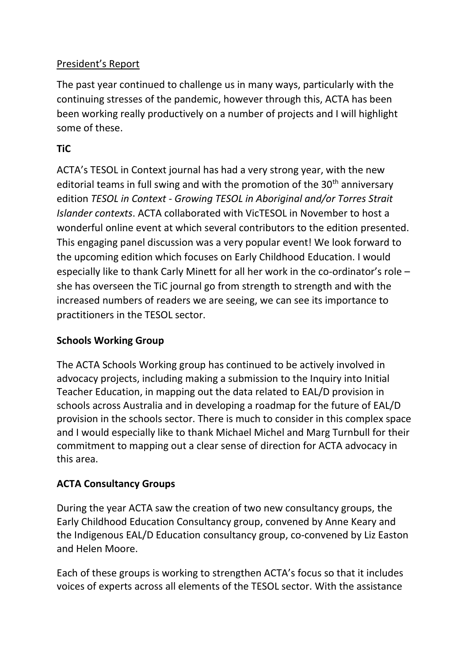# President's Report

The past year continued to challenge us in many ways, particularly with the continuing stresses of the pandemic, however through this, ACTA has been been working really productively on a number of projects and I will highlight some of these.

# **TiC**

ACTA's TESOL in Context journal has had a very strong year, with the new editorial teams in full swing and with the promotion of the  $30<sup>th</sup>$  anniversary edition *TESOL in Context - Growing TESOL in Aboriginal and/or Torres Strait Islander contexts*. ACTA collaborated with VicTESOL in November to host a wonderful online event at which several contributors to the edition presented. This engaging panel discussion was a very popular event! We look forward to the upcoming edition which focuses on Early Childhood Education. I would especially like to thank Carly Minett for all her work in the co-ordinator's role – she has overseen the TiC journal go from strength to strength and with the increased numbers of readers we are seeing, we can see its importance to practitioners in the TESOL sector.

## **Schools Working Group**

The ACTA Schools Working group has continued to be actively involved in advocacy projects, including making a submission to the Inquiry into Initial Teacher Education, in mapping out the data related to EAL/D provision in schools across Australia and in developing a roadmap for the future of EAL/D provision in the schools sector. There is much to consider in this complex space and I would especially like to thank Michael Michel and Marg Turnbull for their commitment to mapping out a clear sense of direction for ACTA advocacy in this area.

## **ACTA Consultancy Groups**

During the year ACTA saw the creation of two new consultancy groups, the Early Childhood Education Consultancy group, convened by Anne Keary and the Indigenous EAL/D Education consultancy group, co-convened by Liz Easton and Helen Moore.

Each of these groups is working to strengthen ACTA's focus so that it includes voices of experts across all elements of the TESOL sector. With the assistance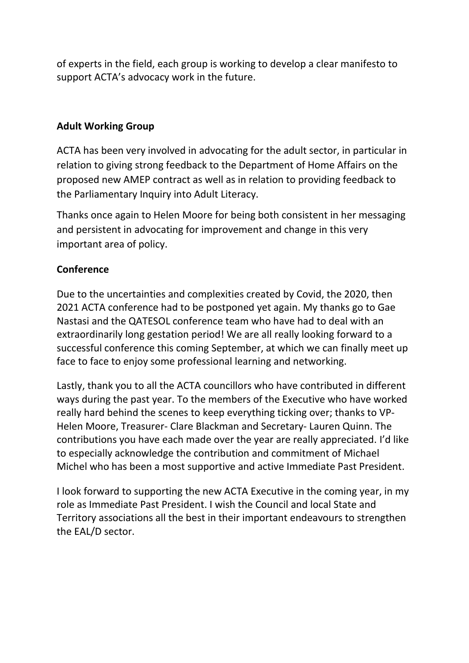of experts in the field, each group is working to develop a clear manifesto to support ACTA's advocacy work in the future.

### **Adult Working Group**

ACTA has been very involved in advocating for the adult sector, in particular in relation to giving strong feedback to the Department of Home Affairs on the proposed new AMEP contract as well as in relation to providing feedback to the Parliamentary Inquiry into Adult Literacy.

Thanks once again to Helen Moore for being both consistent in her messaging and persistent in advocating for improvement and change in this very important area of policy.

## **Conference**

Due to the uncertainties and complexities created by Covid, the 2020, then 2021 ACTA conference had to be postponed yet again. My thanks go to Gae Nastasi and the QATESOL conference team who have had to deal with an extraordinarily long gestation period! We are all really looking forward to a successful conference this coming September, at which we can finally meet up face to face to enjoy some professional learning and networking.

Lastly, thank you to all the ACTA councillors who have contributed in different ways during the past year. To the members of the Executive who have worked really hard behind the scenes to keep everything ticking over; thanks to VP-Helen Moore, Treasurer- Clare Blackman and Secretary- Lauren Quinn. The contributions you have each made over the year are really appreciated. I'd like to especially acknowledge the contribution and commitment of Michael Michel who has been a most supportive and active Immediate Past President.

I look forward to supporting the new ACTA Executive in the coming year, in my role as Immediate Past President. I wish the Council and local State and Territory associations all the best in their important endeavours to strengthen the EAL/D sector.